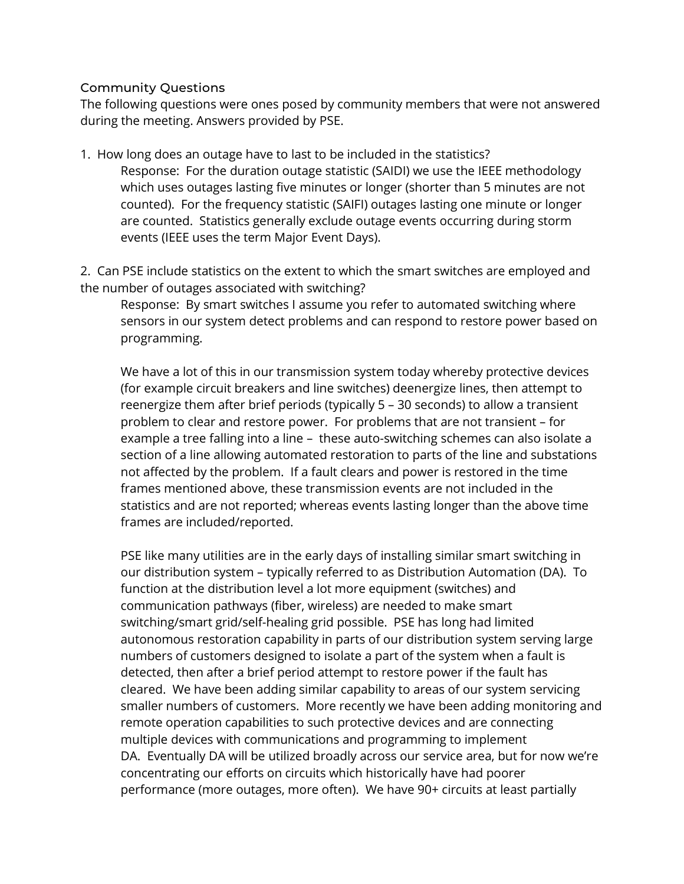## Community Questions

The following questions were ones posed by community members that were not answered during the meeting. Answers provided by PSE.

1. How long does an outage have to last to be included in the statistics? Response: For the duration outage statistic (SAIDI) we use the IEEE methodology which uses outages lasting five minutes or longer (shorter than 5 minutes are not counted). For the frequency statistic (SAIFI) outages lasting one minute or longer are counted. Statistics generally exclude outage events occurring during storm events (IEEE uses the term Major Event Days).

2. Can PSE include statistics on the extent to which the smart switches are employed and the number of outages associated with switching?

Response: By smart switches I assume you refer to automated switching where sensors in our system detect problems and can respond to restore power based on programming.

We have a lot of this in our transmission system today whereby protective devices (for example circuit breakers and line switches) deenergize lines, then attempt to reenergize them after brief periods (typically 5 – 30 seconds) to allow a transient problem to clear and restore power. For problems that are not transient – for example a tree falling into a line – these auto-switching schemes can also isolate a section of a line allowing automated restoration to parts of the line and substations not affected by the problem. If a fault clears and power is restored in the time frames mentioned above, these transmission events are not included in the statistics and are not reported; whereas events lasting longer than the above time frames are included/reported.

PSE like many utilities are in the early days of installing similar smart switching in our distribution system – typically referred to as Distribution Automation (DA). To function at the distribution level a lot more equipment (switches) and communication pathways (fiber, wireless) are needed to make smart switching/smart grid/self-healing grid possible. PSE has long had limited autonomous restoration capability in parts of our distribution system serving large numbers of customers designed to isolate a part of the system when a fault is detected, then after a brief period attempt to restore power if the fault has cleared. We have been adding similar capability to areas of our system servicing smaller numbers of customers. More recently we have been adding monitoring and remote operation capabilities to such protective devices and are connecting multiple devices with communications and programming to implement DA. Eventually DA will be utilized broadly across our service area, but for now we're concentrating our efforts on circuits which historically have had poorer performance (more outages, more often). We have 90+ circuits at least partially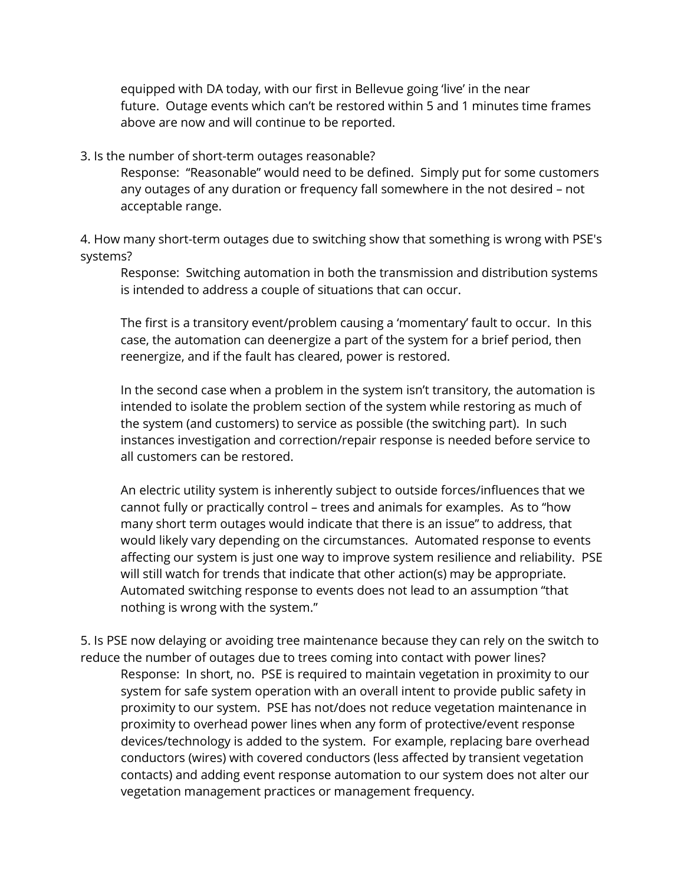equipped with DA today, with our first in Bellevue going 'live' in the near future. Outage events which can't be restored within 5 and 1 minutes time frames above are now and will continue to be reported.

## 3. Is the number of short-term outages reasonable?

Response: "Reasonable" would need to be defined. Simply put for some customers any outages of any duration or frequency fall somewhere in the not desired – not acceptable range.

4. How many short-term outages due to switching show that something is wrong with PSE's systems?

Response: Switching automation in both the transmission and distribution systems is intended to address a couple of situations that can occur.

The first is a transitory event/problem causing a 'momentary' fault to occur. In this case, the automation can deenergize a part of the system for a brief period, then reenergize, and if the fault has cleared, power is restored.

In the second case when a problem in the system isn't transitory, the automation is intended to isolate the problem section of the system while restoring as much of the system (and customers) to service as possible (the switching part). In such instances investigation and correction/repair response is needed before service to all customers can be restored.

An electric utility system is inherently subject to outside forces/influences that we cannot fully or practically control – trees and animals for examples. As to "how many short term outages would indicate that there is an issue" to address, that would likely vary depending on the circumstances. Automated response to events affecting our system is just one way to improve system resilience and reliability. PSE will still watch for trends that indicate that other action(s) may be appropriate. Automated switching response to events does not lead to an assumption "that nothing is wrong with the system."

5. Is PSE now delaying or avoiding tree maintenance because they can rely on the switch to reduce the number of outages due to trees coming into contact with power lines? Response: In short, no. PSE is required to maintain vegetation in proximity to our system for safe system operation with an overall intent to provide public safety in proximity to our system. PSE has not/does not reduce vegetation maintenance in proximity to overhead power lines when any form of protective/event response devices/technology is added to the system. For example, replacing bare overhead conductors (wires) with covered conductors (less affected by transient vegetation contacts) and adding event response automation to our system does not alter our vegetation management practices or management frequency.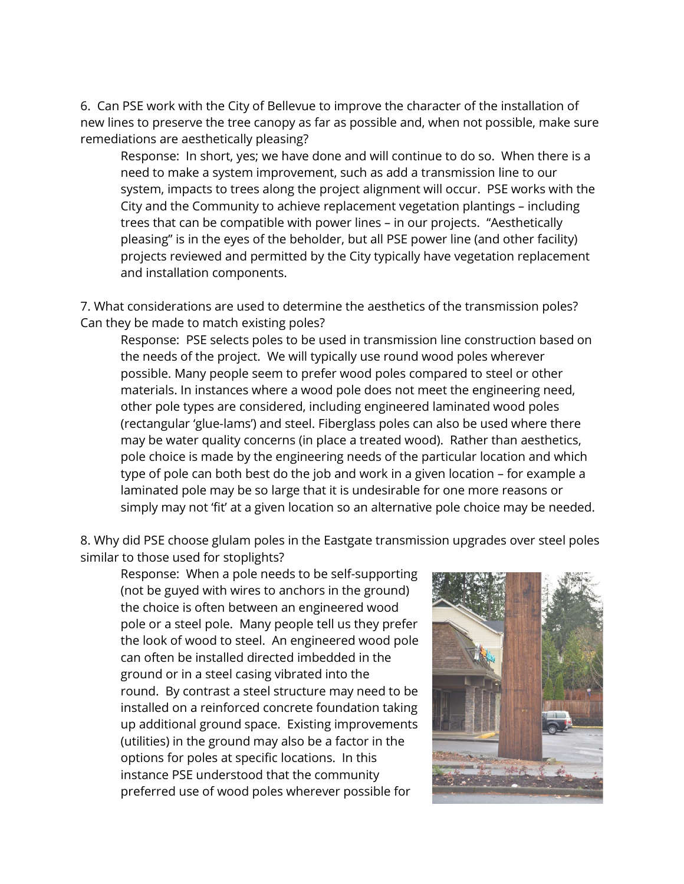6. Can PSE work with the City of Bellevue to improve the character of the installation of new lines to preserve the tree canopy as far as possible and, when not possible, make sure remediations are aesthetically pleasing?

Response: In short, yes; we have done and will continue to do so. When there is a need to make a system improvement, such as add a transmission line to our system, impacts to trees along the project alignment will occur. PSE works with the City and the Community to achieve replacement vegetation plantings – including trees that can be compatible with power lines – in our projects. "Aesthetically pleasing" is in the eyes of the beholder, but all PSE power line (and other facility) projects reviewed and permitted by the City typically have vegetation replacement and installation components.

7. What considerations are used to determine the aesthetics of the transmission poles? Can they be made to match existing poles?

Response: PSE selects poles to be used in transmission line construction based on the needs of the project. We will typically use round wood poles wherever possible. Many people seem to prefer wood poles compared to steel or other materials. In instances where a wood pole does not meet the engineering need, other pole types are considered, including engineered laminated wood poles (rectangular 'glue-lams') and steel. Fiberglass poles can also be used where there may be water quality concerns (in place a treated wood). Rather than aesthetics, pole choice is made by the engineering needs of the particular location and which type of pole can both best do the job and work in a given location – for example a laminated pole may be so large that it is undesirable for one more reasons or simply may not 'fit' at a given location so an alternative pole choice may be needed.

8. Why did PSE choose glulam poles in the Eastgate transmission upgrades over steel poles similar to those used for stoplights?

Response: When a pole needs to be self-supporting (not be guyed with wires to anchors in the ground) the choice is often between an engineered wood pole or a steel pole. Many people tell us they prefer the look of wood to steel. An engineered wood pole can often be installed directed imbedded in the ground or in a steel casing vibrated into the round. By contrast a steel structure may need to be installed on a reinforced concrete foundation taking up additional ground space. Existing improvements (utilities) in the ground may also be a factor in the options for poles at specific locations. In this instance PSE understood that the community preferred use of wood poles wherever possible for